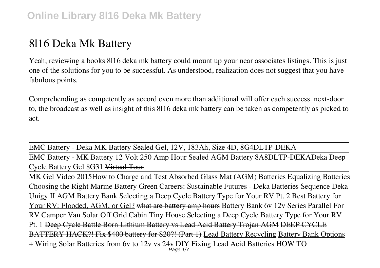# **8l16 Deka Mk Battery**

Yeah, reviewing a books **8l16 deka mk battery** could mount up your near associates listings. This is just one of the solutions for you to be successful. As understood, realization does not suggest that you have fabulous points.

Comprehending as competently as accord even more than additional will offer each success. next-door to, the broadcast as well as insight of this 8l16 deka mk battery can be taken as competently as picked to act.

EMC Battery - Deka MK Battery Sealed Gel, 12V, 183Ah, Size 4D, 8G4DLTP-DEKA EMC Battery - MK Battery 12 Volt 250 Amp Hour Sealed AGM Battery 8A8DLTP-DEKA**Deka Deep Cycle Battery Gel 8G31** Virtual Tour

MK Gel Video 2015**How to Charge and Test Absorbed Glass Mat (AGM) Batteries** *Equalizing Batteries* Choosing the Right Marine Battery **Green Careers: Sustainable Futures - Deka Batteries Sequence** *Deka Unigy II AGM Battery Bank* Selecting a Deep Cycle Battery Type for Your RV Pt. 2 Best Battery for Your RV: Flooded, AGM, or Gel? what are battery amp hours *Battery Bank 6v 12v Series Parallel For RV Camper Van Solar Off Grid Cabin Tiny House* **Selecting a Deep Cycle Battery Type for Your RV Pt. 1** Deep Cycle Battle Born Lithium Battery vs Lead Acid Battery Trojan AGM DEEP CYCLE BATTERY HACK?! Fix \$400 battery for \$20?! (Part 1) Lead Battery Recycling Battery Bank Options + Wiring Solar Batteries from 6v to 12v vs 24v DIY Fixing Lead Acid Batteries **HOW TO** Page 1/7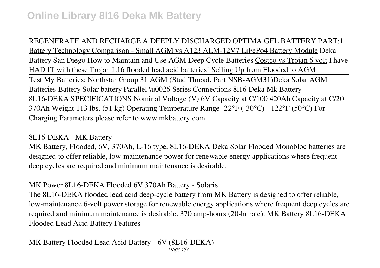**REGENERATE AND RECHARGE A DEEPLY DISCHARGED OPTIMA GEL BATTERY PART:1** Battery Technology Comparison - Small AGM vs A123 ALM-12V7 LiFePo4 Battery Module **Deka Battery San Diego** How to Maintain and Use AGM Deep Cycle Batteries Costco vs Trojan 6 volt **I have HAD IT with these Trojan L16 flooded lead acid batteries! Selling Up from Flooded to AGM** Test My Batteries: Northstar Group 31 AGM (Stud Thread, Part NSB-AGM31)*Deka Solar AGM Batteries Battery Solar battery Parallel \u0026 Series Connections 8l16 Deka Mk Battery* 8L16-DEKA SPECIFICATIONS Nominal Voltage (V) 6V Capacity at C/100 420Ah Capacity at C/20 370Ah Weight 113 lbs. (51 kg) Operating Temperature Range -22°F (-30°C) - 122°F (50°C) For Charging Parameters please refer to www.mkbattery.com

#### *8L16-DEKA - MK Battery*

MK Battery, Flooded, 6V, 370Ah, L-16 type, 8L16-DEKA Deka Solar Flooded Monobloc batteries are designed to offer reliable, low-maintenance power for renewable energy applications where frequent deep cycles are required and minimum maintenance is desirable.

### *MK Power 8L16-DEKA Flooded 6V 370Ah Battery - Solaris*

The 8L16-DEKA flooded lead acid deep-cycle battery from MK Battery is designed to offer reliable, low-maintenance 6-volt power storage for renewable energy applications where frequent deep cycles are required and minimum maintenance is desirable. 370 amp-hours (20-hr rate). MK Battery 8L16-DEKA Flooded Lead Acid Battery Features

### *MK Battery Flooded Lead Acid Battery - 6V (8L16-DEKA)*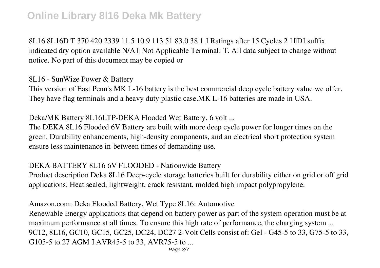8L16 8L16D T 370 420 2339 11.5 10.9 113 51 83.0 38 1 || Ratings after 15 Cycles 2 || DD|| suffix indicated dry option available  $N/A \Box$  Not Applicable Terminal: T. All data subject to change without notice. No part of this document may be copied or

*8L16 - SunWize Power & Battery*

This version of East Penn's MK L-16 battery is the best commercial deep cycle battery value we offer. They have flag terminals and a heavy duty plastic case.MK L-16 batteries are made in USA.

*Deka/MK Battery 8L16LTP-DEKA Flooded Wet Battery, 6 volt ...*

The DEKA 8L16 Flooded 6V Battery are built with more deep cycle power for longer times on the green. Durability enhancements, high-density components, and an electrical short protection system ensure less maintenance in-between times of demanding use.

#### *DEKA BATTERY 8L16 6V FLOODED - Nationwide Battery*

Product description Deka 8L16 Deep-cycle storage batteries built for durability either on grid or off grid applications. Heat sealed, lightweight, crack resistant, molded high impact polypropylene.

*Amazon.com: Deka Flooded Battery, Wet Type 8L16: Automotive*

Renewable Energy applications that depend on battery power as part of the system operation must be at maximum performance at all times. To ensure this high rate of performance, the charging system ... 9C12, 8L16, GC10, GC15, GC25, DC24, DC27 2-Volt Cells consist of: Gel - G45-5 to 33, G75-5 to 33, G105-5 to 27 AGM a AVR45-5 to 33, AVR75-5 to ...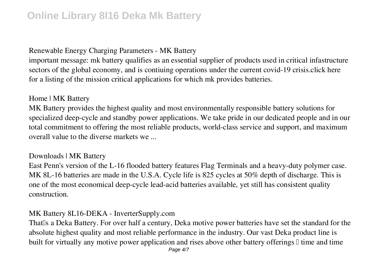#### *Renewable Energy Charging Parameters - MK Battery*

important message: mk battery qualifies as an essential supplier of products used in critical infastructure sectors of the global economy, and is contiuing operations under the current covid-19 crisis.click here for a listing of the mission critical applications for which mk provides batteries.

#### *Home | MK Battery*

MK Battery provides the highest quality and most environmentally responsible battery solutions for specialized deep-cycle and standby power applications. We take pride in our dedicated people and in our total commitment to offering the most reliable products, world-class service and support, and maximum overall value to the diverse markets we ...

#### *Downloads | MK Battery*

East Penn's version of the L-16 flooded battery features Flag Terminals and a heavy-duty polymer case. MK 8L-16 batteries are made in the U.S.A. Cycle life is 825 cycles at 50% depth of discharge. This is one of the most economical deep-cycle lead-acid batteries available, yet still has consistent quality construction.

#### *MK Battery 8L16-DEKA - InverterSupply.com*

That<sup>I</sup>s a Deka Battery. For over half a century, Deka motive power batteries have set the standard for the absolute highest quality and most reliable performance in the industry. Our vast Deka product line is built for virtually any motive power application and rises above other battery offerings  $\mathbb I$  time and time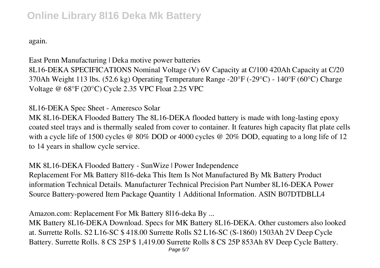again.

*East Penn Manufacturing | Deka motive power batteries* 8L16-DEKA SPECIFICATIONS Nominal Voltage (V) 6V Capacity at C/100 420Ah Capacity at C/20 370Ah Weight 113 lbs. (52.6 kg) Operating Temperature Range -20°F (-29°C) - 140°F (60°C) Charge Voltage @ 68°F (20°C) Cycle 2.35 VPC Float 2.25 VPC

### *8L16-DEKA Spec Sheet - Ameresco Solar*

MK 8L16-DEKA Flooded Battery The 8L16-DEKA flooded battery is made with long-lasting epoxy coated steel trays and is thermally sealed from cover to container. It features high capacity flat plate cells with a cycle life of 1500 cycles @ 80% DOD or 4000 cycles @ 20% DOD, equating to a long life of 12 to 14 years in shallow cycle service.

*MK 8L16-DEKA Flooded Battery - SunWize | Power Independence* Replacement For Mk Battery 8l16-deka This Item Is Not Manufactured By Mk Battery Product information Technical Details. Manufacturer Technical Precision Part Number 8L16-DEKA Power Source Battery-powered Item Package Quantity 1 Additional Information. ASIN B07DTDBLL4

*Amazon.com: Replacement For Mk Battery 8l16-deka By ...*

MK Battery 8L16-DEKA Download. Specs for MK Battery 8L16-DEKA. Other customers also looked at. Surrette Rolls. S2 L16-SC \$ 418.00 Surrette Rolls S2 L16-SC (S-1860) 1503Ah 2V Deep Cycle Battery. Surrette Rolls. 8 CS 25P \$ 1,419.00 Surrette Rolls 8 CS 25P 853Ah 8V Deep Cycle Battery.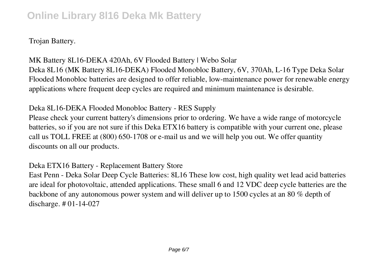Trojan Battery.

*MK Battery 8L16-DEKA 420Ah, 6V Flooded Battery | Webo Solar* Deka 8L16 (MK Battery 8L16-DEKA) Flooded Monobloc Battery, 6V, 370Ah, L-16 Type Deka Solar Flooded Monobloc batteries are designed to offer reliable, low-maintenance power for renewable energy applications where frequent deep cycles are required and minimum maintenance is desirable.

*Deka 8L16-DEKA Flooded Monobloc Battery - RES Supply*

Please check your current battery's dimensions prior to ordering. We have a wide range of motorcycle batteries, so if you are not sure if this Deka ETX16 battery is compatible with your current one, please call us TOLL FREE at (800) 650-1708 or e-mail us and we will help you out. We offer quantity discounts on all our products.

*Deka ETX16 Battery - Replacement Battery Store*

East Penn - Deka Solar Deep Cycle Batteries: 8L16 These low cost, high quality wet lead acid batteries are ideal for photovoltaic, attended applications. These small 6 and 12 VDC deep cycle batteries are the backbone of any autonomous power system and will deliver up to 1500 cycles at an 80 % depth of discharge. # 01-14-027